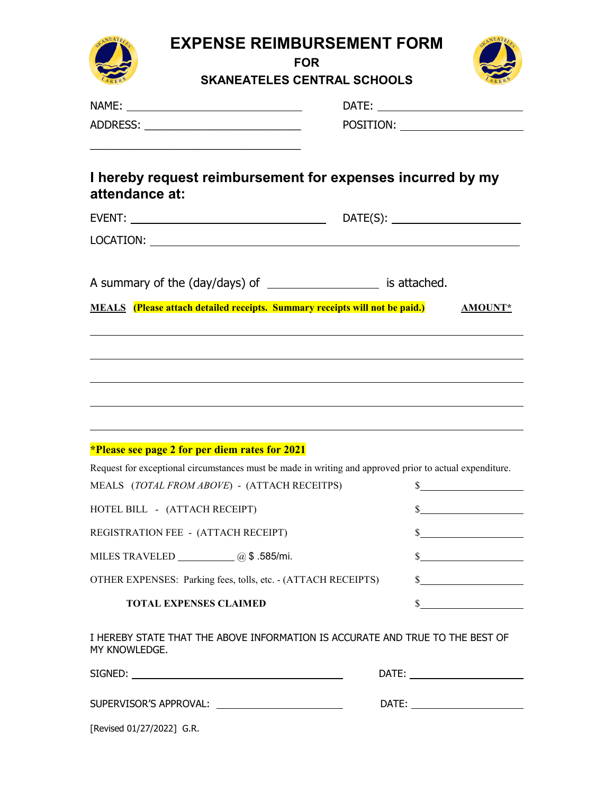| <b>EXPENSE REIMBURSEMENT FORM</b><br><b>FOR</b>                                                         |                                                                                                                                                                                                                                |  |  |  |
|---------------------------------------------------------------------------------------------------------|--------------------------------------------------------------------------------------------------------------------------------------------------------------------------------------------------------------------------------|--|--|--|
| <b>SKANEATELES CENTRAL SCHOOLS</b>                                                                      |                                                                                                                                                                                                                                |  |  |  |
|                                                                                                         |                                                                                                                                                                                                                                |  |  |  |
| <u> 1980 - Johann Stoff, amerikansk politiker (* 1900)</u>                                              | POSITION: Network and the set of the set of the set of the set of the set of the set of the set of the set of the set of the set of the set of the set of the set of the set of the set of the set of the set of the set of th |  |  |  |
| I hereby request reimbursement for expenses incurred by my<br>attendance at:                            |                                                                                                                                                                                                                                |  |  |  |
|                                                                                                         |                                                                                                                                                                                                                                |  |  |  |
|                                                                                                         |                                                                                                                                                                                                                                |  |  |  |
| A summary of the (day/days) of _______________________ is attached.                                     |                                                                                                                                                                                                                                |  |  |  |
| <b>MEALS</b> (Please attach detailed receipts. Summary receipts will not be paid.)                      | <b>AMOUNT*</b>                                                                                                                                                                                                                 |  |  |  |
|                                                                                                         |                                                                                                                                                                                                                                |  |  |  |
|                                                                                                         |                                                                                                                                                                                                                                |  |  |  |
| ,我们也不会有什么。""我们的人,我们也不会有什么?""我们的人,我们也不会有什么?""我们的人,我们也不会有什么?""我们的人,我们也不会有什么?""我们的人                        |                                                                                                                                                                                                                                |  |  |  |
| ,我们也不会有什么。""我们的人,我们也不会有什么?""我们的人,我们也不会有什么?""我们的人,我们也不会有什么?""我们的人,我们也不会有什么?""我们的人                        |                                                                                                                                                                                                                                |  |  |  |
| <i>*Please see page 2 for per diem rates for 2021</i>                                                   |                                                                                                                                                                                                                                |  |  |  |
| Request for exceptional circumstances must be made in writing and approved prior to actual expenditure. |                                                                                                                                                                                                                                |  |  |  |
| MEALS $(TOTAL FROM ABOVE) - (ATTACH RECEITPS)$ \$                                                       |                                                                                                                                                                                                                                |  |  |  |
| HOTEL BILL - (ATTACH RECEIPT)                                                                           | s                                                                                                                                                                                                                              |  |  |  |
| REGISTRATION FEE - (ATTACH RECEIPT)                                                                     | s                                                                                                                                                                                                                              |  |  |  |
| MILES TRAVELED ____________ @\$.585/mi.                                                                 | s                                                                                                                                                                                                                              |  |  |  |
| OTHER EXPENSES: Parking fees, tolls, etc. - (ATTACH RECEIPTS)                                           | $\frac{1}{2}$                                                                                                                                                                                                                  |  |  |  |
| <b>TOTAL EXPENSES CLAIMED</b>                                                                           | s                                                                                                                                                                                                                              |  |  |  |
| I HEREBY STATE THAT THE ABOVE INFORMATION IS ACCURATE AND TRUE TO THE BEST OF<br>MY KNOWLEDGE.          |                                                                                                                                                                                                                                |  |  |  |
|                                                                                                         | DATE: _________________________                                                                                                                                                                                                |  |  |  |
|                                                                                                         | DATE: _________________________                                                                                                                                                                                                |  |  |  |
| [Revised 01/27/2022] G.R.                                                                               |                                                                                                                                                                                                                                |  |  |  |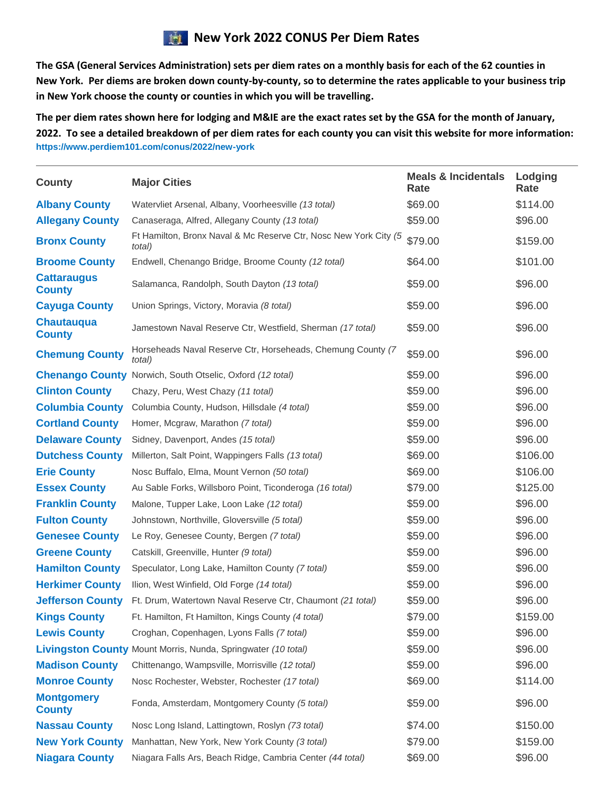## **New York 2022 CONUS Per Diem Rates**

**The GSA (General Services Administration) sets per diem rates on a monthly basis for each of the 62 counties in New York. Per diems are broken down county-by-county, so to determine the rates applicable to your business trip in New York choose the county or counties in which you will be travelling.**

**The per diem rates shown here for lodging and M&IE are the exact rates set by the GSA for the month of January, 2022. To see a detailed breakdown of per diem rates for each county you can visit this website for more information: https://www.perdiem101.com/conus/2022/new-york** 

| <b>County</b>                       | <b>Major Cities</b>                                                        | <b>Meals &amp; Incidentals</b><br>Rate | Lodging<br>Rate |
|-------------------------------------|----------------------------------------------------------------------------|----------------------------------------|-----------------|
| <b>Albany County</b>                | Watervliet Arsenal, Albany, Voorheesville (13 total)                       | \$69.00                                | \$114.00        |
| <b>Allegany County</b>              | Canaseraga, Alfred, Allegany County (13 total)                             | \$59.00                                | \$96.00         |
| <b>Bronx County</b>                 | Ft Hamilton, Bronx Naval & Mc Reserve Ctr, Nosc New York City (5<br>total) | \$79.00                                | \$159.00        |
| <b>Broome County</b>                | Endwell, Chenango Bridge, Broome County (12 total)                         | \$64.00                                | \$101.00        |
| <b>Cattaraugus</b><br><b>County</b> | Salamanca, Randolph, South Dayton (13 total)                               | \$59.00                                | \$96.00         |
| <b>Cayuga County</b>                | Union Springs, Victory, Moravia (8 total)                                  | \$59.00                                | \$96.00         |
| <b>Chautauqua</b><br><b>County</b>  | Jamestown Naval Reserve Ctr, Westfield, Sherman (17 total)                 | \$59.00                                | \$96.00         |
| <b>Chemung County</b>               | Horseheads Naval Reserve Ctr, Horseheads, Chemung County (7<br>total)      | \$59.00                                | \$96.00         |
|                                     | <b>Chenango County</b> Norwich, South Otselic, Oxford (12 total)           | \$59.00                                | \$96.00         |
| <b>Clinton County</b>               | Chazy, Peru, West Chazy (11 total)                                         | \$59.00                                | \$96.00         |
| <b>Columbia County</b>              | Columbia County, Hudson, Hillsdale (4 total)                               | \$59.00                                | \$96.00         |
| <b>Cortland County</b>              | Homer, Mcgraw, Marathon (7 total)                                          | \$59.00                                | \$96.00         |
| <b>Delaware County</b>              | Sidney, Davenport, Andes (15 total)                                        | \$59.00                                | \$96.00         |
| <b>Dutchess County</b>              | Millerton, Salt Point, Wappingers Falls (13 total)                         | \$69.00                                | \$106.00        |
| <b>Erie County</b>                  | Nosc Buffalo, Elma, Mount Vernon (50 total)                                | \$69.00                                | \$106.00        |
| <b>Essex County</b>                 | Au Sable Forks, Willsboro Point, Ticonderoga (16 total)                    | \$79.00                                | \$125.00        |
| <b>Franklin County</b>              | Malone, Tupper Lake, Loon Lake (12 total)                                  | \$59.00                                | \$96.00         |
| <b>Fulton County</b>                | Johnstown, Northville, Gloversville (5 total)                              | \$59.00                                | \$96.00         |
| <b>Genesee County</b>               | Le Roy, Genesee County, Bergen (7 total)                                   | \$59.00                                | \$96.00         |
| <b>Greene County</b>                | Catskill, Greenville, Hunter (9 total)                                     | \$59.00                                | \$96.00         |
| <b>Hamilton County</b>              | Speculator, Long Lake, Hamilton County (7 total)                           | \$59.00                                | \$96.00         |
| <b>Herkimer County</b>              | Ilion, West Winfield, Old Forge (14 total)                                 | \$59.00                                | \$96.00         |
| <b>Jefferson County</b>             | Ft. Drum, Watertown Naval Reserve Ctr, Chaumont (21 total)                 | \$59.00                                | \$96.00         |
| <b>Kings County</b>                 | Ft. Hamilton, Ft Hamilton, Kings County (4 total)                          | \$79.00                                | \$159.00        |
| <b>Lewis County</b>                 | Croghan, Copenhagen, Lyons Falls (7 total)                                 | \$59.00                                | \$96.00         |
|                                     | <b>Livingston County Mount Morris, Nunda, Springwater (10 total)</b>       | \$59.00                                | \$96.00         |
| <b>Madison County</b>               | Chittenango, Wampsville, Morrisville (12 total)                            | \$59.00                                | \$96.00         |
| <b>Monroe County</b>                | Nosc Rochester, Webster, Rochester (17 total)                              | \$69.00                                | \$114.00        |
| <b>Montgomery</b><br><b>County</b>  | Fonda, Amsterdam, Montgomery County (5 total)                              | \$59.00                                | \$96.00         |
| <b>Nassau County</b>                | Nosc Long Island, Lattingtown, Roslyn (73 total)                           | \$74.00                                | \$150.00        |
| <b>New York County</b>              | Manhattan, New York, New York County (3 total)                             | \$79.00                                | \$159.00        |
| <b>Niagara County</b>               | Niagara Falls Ars, Beach Ridge, Cambria Center (44 total)                  | \$69.00                                | \$96.00         |